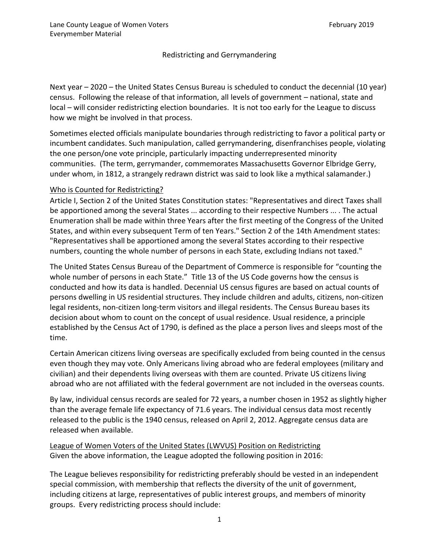# Redistricting and Gerrymandering

Next year – 2020 – the United States Census Bureau is scheduled to conduct the decennial (10 year) census. Following the release of that information, all levels of government – national, state and local – will consider redistricting election boundaries. It is not too early for the League to discuss how we might be involved in that process.

Sometimes elected officials manipulate boundaries through redistricting to favor a political party or incumbent candidates. Such manipulation, called gerrymandering, disenfranchises people, violating the one person/one vote principle, particularly impacting underrepresented minority communities. (The term, gerrymander, commemorates Massachusetts Governor Elbridge Gerry, under whom, in 1812, a strangely redrawn district was said to look like a mythical salamander.)

## Who is Counted for Redistricting?

[Article I,](https://en.wikipedia.org/wiki/Article_One_of_the_United_States_Constitution) Section 2 of the [United States Constitution](https://en.wikipedia.org/wiki/United_States_Constitution) states: ["Representatives](https://en.wikipedia.org/wiki/United_States_congressional_apportionment) and direct Taxes shall be apportioned among the several States ... according to their respective Numbers ... . The actual Enumeration shall be made within three Years after the [first meeting](https://en.wikipedia.org/wiki/First_United_States_Congress) of the [Congress of the United](https://en.wikipedia.org/wiki/Congress_of_the_United_States)  [States,](https://en.wikipedia.org/wiki/Congress_of_the_United_States) and within every subsequent Term of ten Years." Section 2 of the [14th Amendment](https://en.wikipedia.org/wiki/14th_Amendment_to_the_United_States_Constitution) states: "Representatives shall be apportioned among the several States according to their respective numbers, counting the whole number of persons in each State, excluding Indians not taxed."

The [United States Census Bureau](https://en.wikipedia.org/wiki/United_States_Census_Bureau) of the Department of Commerce is responsible for "counting the whole number of persons in each State." [Title 13 of the US](https://en.wikipedia.org/wiki/Title_13_of_the_United_States_Code) Code governs how the census is conducted and how its data is handled. Decennial US census figures are based on actual counts of persons dwelling in US residential structures. They include children and adults, citizens, non-citizen legal residents, non-citizen long-term visitors and illegal residents. The Census Bureau bases its decision about whom to count on the concept of usual residence. Usual residence, a principle established by the Census Act of 1790, is defined as the place a person lives and sleeps most of the time.

Certain American citizens living overseas are specifically excluded from being counted in the census even though they may vote. Only Americans living abroad who are federal employees (military and civilian) and their dependents living overseas with them are counted. Private US citizens living abroad who are not affiliated with the federal government are not included in the overseas counts.

By law, individual census records are sealed for 72 years, a number chosen in 1952 as slightly higher than the average female life expectancy of 71.6 years. The individual census data most recently released to the public is the 1940 census, released on April 2, 2012. Aggregate census data are released when available.

## League of Women Voters of the United States (LWVUS) Position on Redistricting Given the above information, the League adopted the following position in 2016:

The League believes responsibility for redistricting preferably should be vested in an independent special commission, with membership that reflects the diversity of the unit of government, including citizens at large, representatives of public interest groups, and members of minority groups. Every redistricting process should include: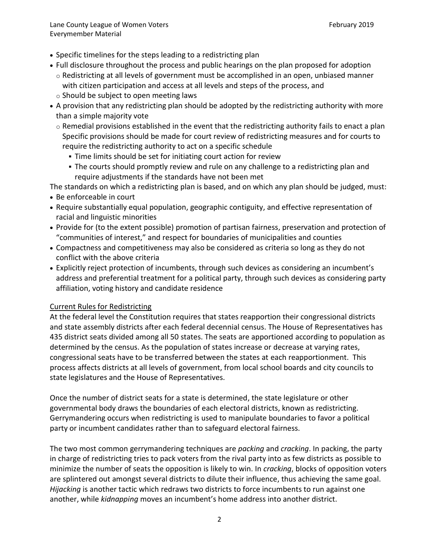Lane County League of Women Voters February 2019 Everymember Material

- Specific timelines for the steps leading to a redistricting plan
- Full disclosure throughout the process and public hearings on the plan proposed for adoption
- $\circ$  Redistricting at all levels of government must be accomplished in an open, unbiased manner with citizen participation and access at all levels and steps of the process, and
- o Should be subject to open meeting laws
- A provision that any redistricting plan should be adopted by the redistricting authority with more than a simple majority vote
	- $\circ$  Remedial provisions established in the event that the redistricting authority fails to enact a plan Specific provisions should be made for court review of redistricting measures and for courts to require the redistricting authority to act on a specific schedule
		- **.** Time limits should be set for initiating court action for review
		- **The courts should promptly review and rule on any challenge to a redistricting plan and** require adjustments if the standards have not been met

The standards on which a redistricting plan is based, and on which any plan should be judged, must:

- Be enforceable in court
- Require substantially equal population, geographic contiguity, and effective representation of racial and linguistic minorities
- Provide for (to the extent possible) promotion of partisan fairness, preservation and protection of "communities of interest," and respect for boundaries of municipalities and counties
- Compactness and competitiveness may also be considered as criteria so long as they do not conflict with the above criteria
- Explicitly reject protection of incumbents, through such devices as considering an incumbent's address and preferential treatment for a political party, through such devices as considering party affiliation, voting history and candidate residence

### Current Rules for Redistricting

At the federal level the Constitution requires that states reapportion their congressional districts and state assembly districts after each federal decennial census. The House of Representatives has 435 district seats divided among all 50 states. The seats are apportioned according to population as determined by the census. As the population of states increase or decrease at varying rates, congressional seats have to be transferred between the states at each reapportionment. This process affects districts at all levels of government, from local school boards and city councils to state legislatures and the House of Representatives.

Once the number of district seats for a state is determined, the state legislature or other governmental body draws the boundaries of each electoral districts, known as redistricting. Gerrymandering occurs when redistricting is used to manipulate boundaries to favor a political party or incumbent candidates rather than to safeguard electoral fairness.

The two most common gerrymandering techniques are *packing* and *cracking*. In packing, the party in charge of redistricting tries to pack voters from the rival party into as few districts as possible to minimize the number of seats the opposition is likely to win. In *cracking*, blocks of opposition voters are splintered out amongst several districts to dilute their influence, thus achieving the same goal. *Hijacking* is another tactic which redraws two districts to force incumbents to run against one another, while *kidnapping* moves an incumbent's home address into another district.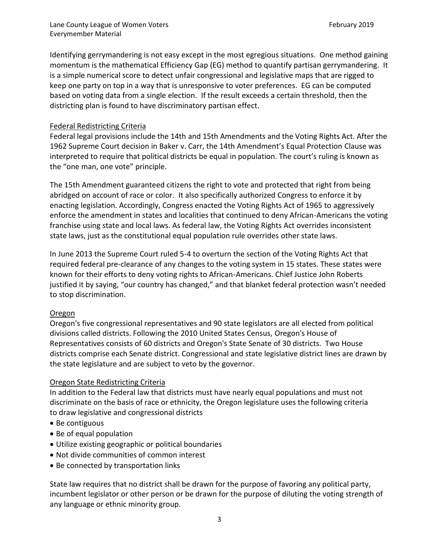Identifying gerrymandering is not easy except in the most egregious situations. One method gaining momentum is the mathematical Efficiency Gap (EG) method to quantify partisan gerrymandering. It is a simple numerical score to detect unfair congressional and legislative maps that are rigged to keep one party on top in a way that is unresponsive to voter preferences. EG can be computed based on voting data from a single election. If the result exceeds a certain threshold, then the districting plan is found to have discriminatory partisan effect.

### Federal Redistricting Criteria

Federal legal provisions include the 14th and 15th Amendments and the Voting Rights Act. After the 1962 Supreme Court decision in Baker v. Carr, the 14th Amendment's Equal Protection Clause was interpreted to require that political districts be equal in population. The court's ruling is known as the "one man, one vote" principle.

The 15th Amendment guaranteed citizens the right to vote and protected that right from being abridged on account of race or color. It also specifically authorized Congress to enforce it by enacting legislation. Accordingly, Congress enacted the Voting Rights Act of 1965 to aggressively enforce the amendment in states and localities that continued to deny African-Americans the voting franchise using state and local laws. As federal law, the Voting Rights Act overrides inconsistent state laws, just as the constitutional equal population rule overrides other state laws.

In June 2013 the Supreme Court ruled 5-4 to overturn the section of the Voting Rights Act that required federal pre-clearance of any changes to the voting system in 15 states. These states were known for their efforts to deny voting rights to African-Americans. Chief Justice John Roberts justified it by saying, "our country has changed," and that blanket federal protection wasn't needed to stop discrimination.

### Oregon

Oregon's five congressional representatives and 90 state legislators are all elected from political divisions called districts. Following the 2010 United States Census, Oregon's House of Representatives consists of 60 districts and Oregon's State Senate of 30 districts. Two House districts comprise each Senate district. Congressional and state legislative district lines are drawn by the state legislature and are subject to veto by the governor.

### Oregon State Redistricting Criteria

In addition to the Federal law that districts must have nearly equal populations and must not discriminate on the basis of race or ethnicity, the Oregon legislature uses the following criteria to draw legislative and congressional districts

- Be contiguous
- Be of equal population
- Utilize existing geographic or political boundaries
- Not divide communities of common interest
- Be connected by transportation links

State law requires that no district shall be drawn for the purpose of favoring any political party, incumbent legislator or other person or be drawn for the purpose of diluting the voting strength of any language or ethnic minority group.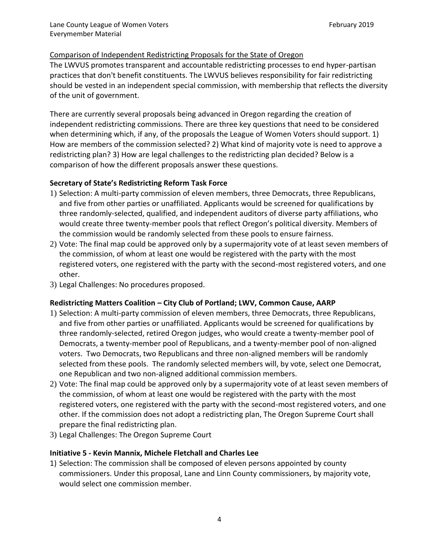# Comparison of Independent Redistricting Proposals for the State of Oregon

The LWVUS promotes transparent and accountable redistricting processes to end hyper-partisan practices that don't benefit constituents. The LWVUS believes responsibility for fair redistricting should be vested in an independent special commission, with membership that reflects the diversity of the unit of government.

There are currently several proposals being advanced in Oregon regarding the creation of independent redistricting commissions. There are three key questions that need to be considered when determining which, if any, of the proposals the League of Women Voters should support. 1) How are members of the commission selected? 2) What kind of majority vote is need to approve a redistricting plan? 3) How are legal challenges to the redistricting plan decided? Below is a comparison of how the different proposals answer these questions.

## **Secretary of State's Redistricting Reform Task Force**

- 1) Selection: A multi-party commission of eleven members, three Democrats, three Republicans, and five from other parties or unaffiliated. Applicants would be screened for qualifications by three randomly-selected, qualified, and independent auditors of diverse party affiliations, who would create three twenty-member pools that reflect Oregon's political diversity. Members of the commission would be randomly selected from these pools to ensure fairness.
- 2) Vote: The final map could be approved only by a supermajority vote of at least seven members of the commission, of whom at least one would be registered with the party with the most registered voters, one registered with the party with the second-most registered voters, and one other.
- 3) Legal Challenges: No procedures proposed.

# **Redistricting Matters Coalition – City Club of Portland; LWV, Common Cause, AARP**

- 1) Selection: A multi-party commission of eleven members, three Democrats, three Republicans, and five from other parties or unaffiliated. Applicants would be screened for qualifications by three randomly-selected, retired Oregon judges, who would create a twenty-member pool of Democrats, a twenty-member pool of Republicans, and a twenty-member pool of non-aligned voters. Two Democrats, two Republicans and three non-aligned members will be randomly selected from these pools. The randomly selected members will, by vote, select one Democrat, one Republican and two non-aligned additional commission members.
- 2) Vote: The final map could be approved only by a supermajority vote of at least seven members of the commission, of whom at least one would be registered with the party with the most registered voters, one registered with the party with the second-most registered voters, and one other. If the commission does not adopt a redistricting plan, The Oregon Supreme Court shall prepare the final redistricting plan.
- 3) Legal Challenges: The Oregon Supreme Court

# **Initiative 5 - Kevin Mannix, Michele Fletchall and Charles Lee**

1) Selection: The commission shall be composed of eleven persons appointed by county commissioners. Under this proposal, Lane and Linn County commissioners, by majority vote, would select one commission member.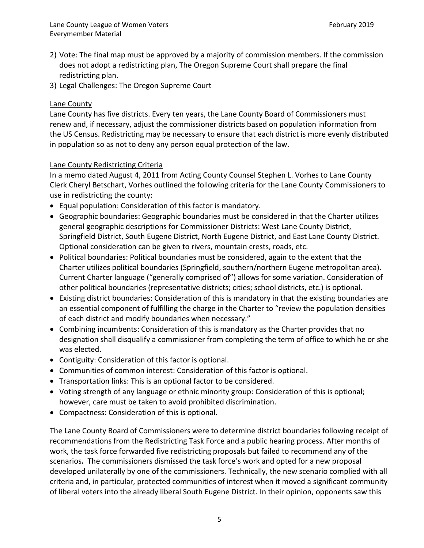- 2) Vote: The final map must be approved by a majority of commission members. If the commission does not adopt a redistricting plan, The Oregon Supreme Court shall prepare the final redistricting plan.
- 3) Legal Challenges: The Oregon Supreme Court

### Lane County

Lane County has five districts. Every ten years, the Lane County Board of Commissioners must renew and, if necessary, adjust the commissioner districts based on population information from the US Census. Redistricting may be necessary to ensure that each district is more evenly distributed in population so as not to deny any person equal protection of the law.

## Lane County Redistricting Criteria

In a memo dated August 4, 2011 from Acting County Counsel Stephen L. Vorhes to Lane County Clerk Cheryl Betschart, Vorhes outlined the following criteria for the Lane County Commissioners to use in redistricting the county:

- Equal population: Consideration of this factor is mandatory.
- Geographic boundaries: Geographic boundaries must be considered in that the Charter utilizes general geographic descriptions for Commissioner Districts: West Lane County District, Springfield District, South Eugene District, North Eugene District, and East Lane County District. Optional consideration can be given to rivers, mountain crests, roads, etc.
- Political boundaries: Political boundaries must be considered, again to the extent that the Charter utilizes political boundaries (Springfield, southern/northern Eugene metropolitan area). Current Charter language ("generally comprised of") allows for some variation. Consideration of other political boundaries (representative districts; cities; school districts, etc.) is optional.
- Existing district boundaries: Consideration of this is mandatory in that the existing boundaries are an essential component of fulfilling the charge in the Charter to "review the population densities of each district and modify boundaries when necessary."
- Combining incumbents: Consideration of this is mandatory as the Charter provides that no designation shall disqualify a commissioner from completing the term of office to which he or she was elected.
- Contiguity: Consideration of this factor is optional.
- Communities of common interest: Consideration of this factor is optional.
- Transportation links: This is an optional factor to be considered.
- Voting strength of any language or ethnic minority group: Consideration of this is optional; however, care must be taken to avoid prohibited discrimination.
- Compactness: Consideration of this is optional.

The Lane County Board of Commissioners were to determine district boundaries following receipt of recommendations from the Redistricting Task Force and a public hearing process. After months of work, the task force forwarded five redistricting proposals but failed to recommend any of the scenarios**.** The commissioners dismissed the task force's work and opted for a new proposal developed unilaterally by one of the commissioners. Technically, the new scenario complied with all criteria and, in particular, protected communities of interest when it moved a significant community of liberal voters into the already liberal South Eugene District. In their opinion, opponents saw this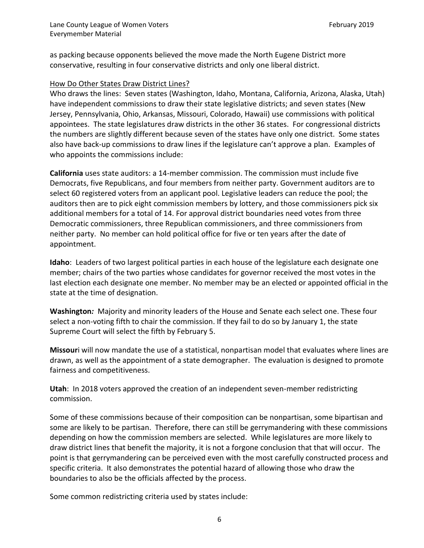as packing because opponents believed the move made the North Eugene District more conservative, resulting in four conservative districts and only one liberal district.

## How Do Other States Draw District Lines?

Who draws the lines: Seven states (Washington, Idaho, Montana, California, Arizona, Alaska, Utah) have independent commissions to draw their state legislative districts; and seven states (New Jersey, Pennsylvania, Ohio, Arkansas, Missouri, Colorado, Hawaii) use commissions with political appointees. The state legislatures draw districts in the other 36 states. For congressional districts the numbers are slightly different because seven of the states have only one district. Some states also have back-up commissions to draw lines if the legislature can't approve a plan. Examples of who appoints the commissions include:

**California** uses state auditors: a 14-member commission. The commission must include five Democrats, five Republicans, and four members from neither party. Government auditors are to select 60 registered voters from an applicant pool. Legislative leaders can reduce the pool; the auditors then are to pick eight commission members by lottery, and those commissioners pick six additional members for a total of 14. For approval district boundaries need votes from three Democratic commissioners, three Republican commissioners, and three commissioners from neither party. No member can hold political office for five or ten years after the date of appointment.

**Idaho**: Leaders of two largest political parties in each house of the legislature each designate one member; chairs of the two parties whose candidates for governor received the most votes in the last election each designate one member. No member may be an elected or appointed official in the state at the time of designation.

**Washington***:* Majority and minority leaders of the House and Senate each select one. These four select a non-voting fifth to chair the commission. If they fail to do so by January 1, the state Supreme Court will select the fifth by February 5.

**Missour**i will now mandate the use of a statistical, nonpartisan model that evaluates where lines are drawn, as well as the appointment of a state demographer. The evaluation is designed to promote fairness and competitiveness.

**Utah**: In 2018 voters approved the creation of an independent seven-member redistricting commission.

Some of these commissions because of their composition can be nonpartisan, some bipartisan and some are likely to be partisan. Therefore, there can still be gerrymandering with these commissions depending on how the commission members are selected. While legislatures are more likely to draw district lines that benefit the majority, it is not a forgone conclusion that that will occur. The point is that gerrymandering can be perceived even with the most carefully constructed process and specific criteria. It also demonstrates the potential hazard of allowing those who draw the boundaries to also be the officials affected by the process.

Some common redistricting criteria used by states include: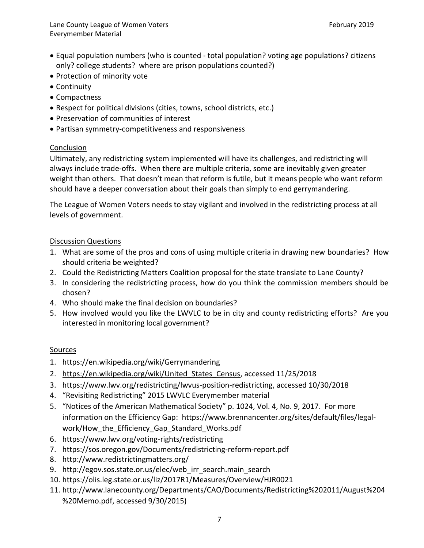- Equal population numbers (who is counted total population? voting age populations? citizens only? college students? where are prison populations counted?)
- Protection of minority vote
- Continuity
- Compactness
- Respect for political divisions (cities, towns, school districts, etc.)
- Preservation of communities of interest
- Partisan symmetry-competitiveness and responsiveness

## Conclusion

Ultimately, any redistricting system implemented will have its challenges, and redistricting will always include trade-offs. When there are multiple criteria, some are inevitably given greater weight than others. That doesn't mean that reform is futile, but it means people who want reform should have a deeper conversation about their goals than simply to end gerrymandering.

The League of Women Voters needs to stay vigilant and involved in the redistricting process at all levels of government.

## Discussion Questions

- 1. What are some of the pros and cons of using multiple criteria in drawing new boundaries? How should criteria be weighted?
- 2. Could the Redistricting Matters Coalition proposal for the state translate to Lane County?
- 3. In considering the redistricting process, how do you think the commission members should be chosen?
- 4. Who should make the final decision on boundaries?
- 5. How involved would you like the LWVLC to be in city and county redistricting efforts? Are you interested in monitoring local government?

## **Sources**

- 1. https://en.wikipedia.org/wiki/Gerrymandering
- 2. [https://en.wikipedia.org/wiki/United\\_States\\_Census,](https://en.wikipedia.org/wiki/United_States_Census) accessed 11/25/2018
- 3. [https://www.lwv.org/redistricting/lwvus-position-redistricting,](https://www.lwv.org/redistricting/lwvus-position-redistricting) accessed 10/30/2018
- 4. "Revisiting Redistricting" 2015 LWVLC Everymember material
- 5. "Notices of the American Mathematical Society" p. 1024, Vol. 4, No. 9, 2017. For more information on the Efficiency Gap: https://www.brennancenter.org/sites/default/files/legalwork/How the Efficiency Gap Standard Works.pdf
- 6. <https://www.lwv.org/voting-rights/redistricting>
- 7. https://sos.oregon.gov/Documents/redistricting-reform-report.pdf
- 8. <http://www.redistrictingmatters.org/>
- 9. http://egov.sos.state.or.us/elec/web irr search.main search
- 10. <https://olis.leg.state.or.us/liz/2017R1/Measures/Overview/HJR0021>
- 11. http://www.lanecounty.org/Departments/CAO/Documents/Redistricting%202011/August%204 %20Memo.pdf, accessed 9/30/2015)